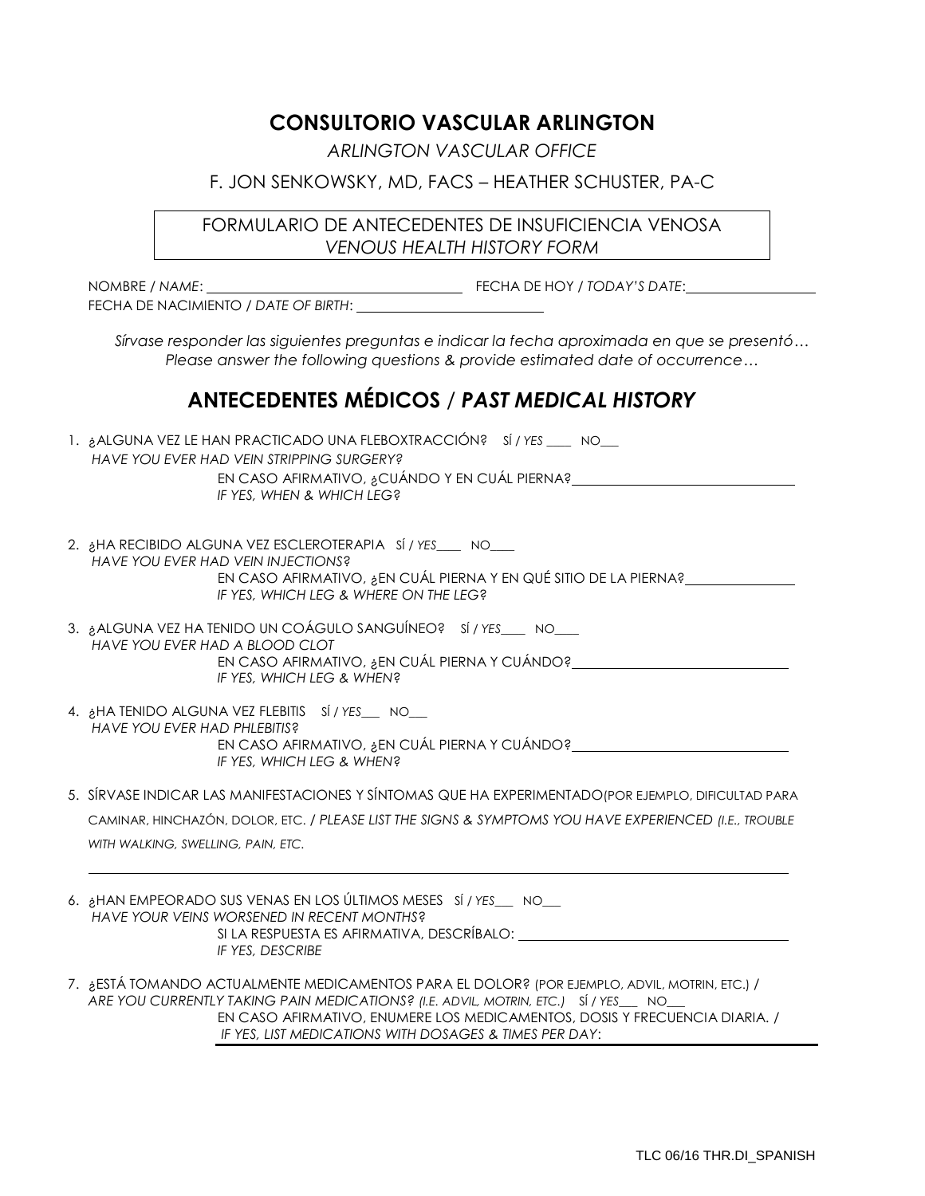## **CONSULTORIO VASCULAR ARLINGTON**

*ARLINGTON VASCULAR OFFICE*

## F. JON SENKOWSKY, MD, FACS – HEATHER SCHUSTER, PA-C

FORMULARIO DE ANTECEDENTES DE INSUFICIENCIA VENOSA *VENOUS HEALTH HISTORY FORM* 

NOMBRE / *NAME*: FECHA DE HOY / *TODAY'S DATE*: FECHA DE NACIMIENTO / *DATE OF BIRTH*:

*Sírvase responder las siguientes preguntas e indicar la fecha aproximada en que se presentó… Please answer the following questions & provide estimated date of occurrence…*

## **ANTECEDENTES MÉDICOS** / *PAST MEDICAL HISTORY*

| 1. ¿ALGUNA VEZ LE HAN PRACTICADO UNA FLEBOXTRACCIÓN? SÍ / YES ____ NO___<br>HAVE YOU EVER HAD VEIN STRIPPING SURGERY?<br>EN CASO AFIRMATIVO, ¿CUÁNDO Y EN CUÁL PIERNA?<br>IF YES, WHEN & WHICH LEG?    |
|--------------------------------------------------------------------------------------------------------------------------------------------------------------------------------------------------------|
| 2. AHA RECIBIDO ALGUNA VEZ ESCLEROTERAPIA SÍ/YES NO<br>HAVE YOU EVER HAD VEIN INJECTIONS?<br>EN CASO AFIRMATIVO, ¿EN CUÁL PIERNA Y EN QUÉ SITIO DE LA PIERNA?<br>IF YES, WHICH LEG & WHERE ON THE LEG? |
| 3. ¿ALGUNA VEZ HA TENIDO UN COÁGULO SANGUÍNEO? SÍ / YES___ NO___<br>HAVE YOU EVER HAD A BLOOD CLOT<br>EN CASO AFIRMATIVO, ¿EN CUÁL PIERNA Y CUÁNDO?<br>IF YES, WHICH LEG & WHEN?                       |
|                                                                                                                                                                                                        |

- 4. ¿HA TENIDO ALGUNA VEZ FLEBITIS SÍ / *YES*\_\_\_ NO\_\_\_ *HAVE YOU EVER HAD PHLEBITIS*? EN CASO AFIRMATIVO, ¿EN CUÁL PIERNA Y CUÁNDO? *IF YES, WHICH LEG & WHEN*?
- 5. SÍRVASE INDICAR LAS MANIFESTACIONES Y SÍNTOMAS QUE HA EXPERIMENTADO(POR EJEMPLO, DIFICULTAD PARA

CAMINAR, HINCHAZÓN, DOLOR, ETC. / *PLEASE LIST THE SIGNS & SYMPTOMS YOU HAVE EXPERIENCED (I.E., TROUBLE WITH WALKING, SWELLING, PAIN, ETC.* 

- 6. ¿HAN EMPEORADO SUS VENAS EN LOS ÚLTIMOS MESES SÍ / *YES*\_\_\_ NO\_\_\_ *HAVE YOUR VEINS WORSENED IN RECENT MONTHS*? SI LA RESPUESTA ES AFIRMATIVA, DESCRÍBALO: *IF YES, DESCRIBE*
- 7. ¿ESTÁ TOMANDO ACTUALMENTE MEDICAMENTOS PARA EL DOLOR? (POR EJEMPLO, ADVIL, MOTRIN, ETC.) / *ARE YOU CURRENTLY TAKING PAIN MEDICATIONS? (I.E. ADVIL, MOTRIN, ETC.)* SÍ / *YES*\_\_\_ NO\_\_\_ EN CASO AFIRMATIVO, ENUMERE LOS MEDICAMENTOS, DOSIS Y FRECUENCIA DIARIA. / *IF YES, LIST MEDICATIONS WITH DOSAGES & TIMES PER DAY*: